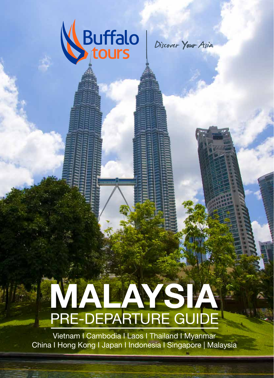

Discover Your Asia

# PRE-DEPARTURE GUIDE MALAYSIA

Vietnam I Cambodia I Laos I Thailand I Myanmar China I Hong Kong I Japan I Indonesia I Singapore | Malaysia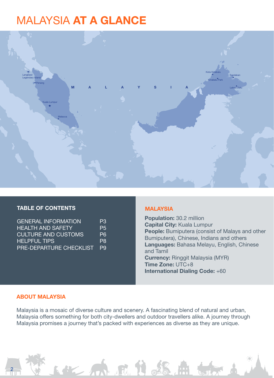### MALAYSIA AT A GLANCE



#### TABLE OF CONTENTS **MALAYSIA**

| <b>GENERAL INFORMATION</b> | P3             |
|----------------------------|----------------|
| HFAI TH AND SAFFTY         | P5             |
| <b>CULTURE AND CUSTOMS</b> | P <sub>6</sub> |
| <b>HELPFUL TIPS</b>        | P8             |
| PRE-DEPARTURE CHECKLIST    | P9             |

Population: 30.2 million Capital City: Kuala Lumpur People: Bumiputera (consist of Malays and other Bumiputera), Chinese, Indians and others Languages: Bahasa Melayu, English, Chinese and Tamil Currency: Ringgit Malaysia (MYR) Time Zone: UTC+8 International Dialing Code: +60

#### ABOUT MALAYSIA

2

Malaysia is a mosaic of diverse culture and scenery. A fascinating blend of natural and urban, Malaysia offers something for both city-dwellers and outdoor travellers alike. A journey through Malaysia promises a journey that's packed with experiences as diverse as they are unique.

142 后来风的 35.面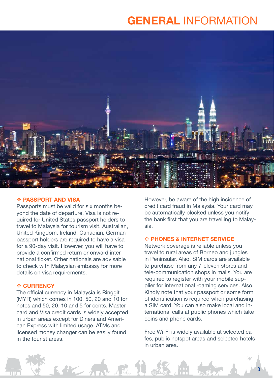### GENERAL INFORMATION



#### **❖ PASSPORT AND VISA**

Passports must be valid for six months beyond the date of departure. Visa is not required for United States passport holders to travel to Malaysia for tourism visit. Australian, United Kingdom, Ireland, Canadian, German passport holders are required to have a visa for a 90-day visit. However, you will have to provide a confirmed return or onward international ticket. Other nationals are advisable to check with Malaysian embassy for more details on visa requirements.

#### **❖ CURRENCY**

The official currency in Malaysia is Ringgit (MYR) which comes in 100, 50, 20 and 10 for notes and 50, 20, 10 and 5 for cents. Mastercard and Visa credit cards is widely accepted in urban areas except for Diners and American Express with limited usage. ATMs and licensed money changer can be easily found in the tourist areas.

However, be aware of the high incidence of credit card fraud in Malaysia. Your card may be automatically blocked unless you notify the bank first that you are travelling to Malaysia.

#### PHONES & INTERNET SERVICE

Network coverage is reliable unless you travel to rural areas of Borneo and jungles in Peninsular. Also, SIM cards are available to purchase from any 7-eleven stores and tele-communication shops in malls. You are required to register with your mobile supplier for international roaming services. Also, Kindly note that your passport or some form of identification is required when purchasing a SIM card. You can also make local and international calls at public phones which take coins and phone cards.

Free Wi-Fi is widely available at selected cafes, public hotspot areas and selected hotels in urban area.

33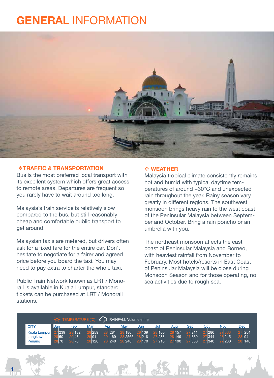### GENERAL INFORMATION



#### TRAFFIC & TRANSPORTATION

Bus is the most preferred local transport with its excellent system which offers great access to remote areas. Departures are frequent so you rarely have to wait around too long.

Malaysia's train service is relatively slow compared to the bus, but still reasonably cheap and comfortable public transport to get around.

Malaysian taxis are metered, but drivers often ask for a fixed fare for the entire car. Don't hesitate to negotiate for a fairer and agreed price before you board the taxi. You may need to pay extra to charter the whole taxi.

Public Train Network known as LRT / Monorail is available in Kuala Lumpur, standard tickets can be purchased at LRT / Monorail stations.

4

#### WEATHER

Malaysia tropical climate consistently remains hot and humid with typical daytime temperatures of around +30°C and unexpected rain throughout the year. Rainy season vary greatly in different regions. The southwest monsoon brings heavy rain to the west coast of the Peninsular Malaysia between September and October. Bring a rain poncho or an umbrella with you.

The northeast monsoon affects the east coast of Peninsular Malaysia and Borneo, with heaviest rainfall from November to February. Most hotels/resorts in East Coast of Peninsular Malaysia will be close during Monsoon Season and for those operating, no sea activities due to rough sea.

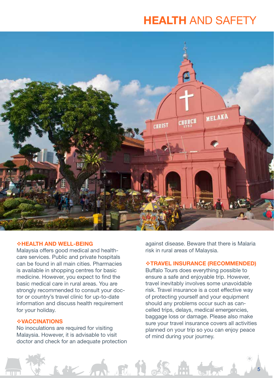### HEALTH AND SAFETY



#### HEALTH AND WELL-BEING

Malaysia offers good medical and healthcare services. Public and private hospitals can be found in all main cities. Pharmacies is available in shopping centres for basic medicine. However, you expect to find the basic medical care in rural areas. You are strongly recommended to consult your doctor or country's travel clinic for up-to-date information and discuss health requirement for your holiday.

#### *\*VACCINATIONS*

No inoculations are required for visiting Malaysia. However, it is advisable to visit doctor and check for an adequate protection

第一届 原则

against disease. Beware that there is Malaria risk in rural areas of Malaysia.

#### TRAVEL INSURANCE (RECOMMENDED)

Buffalo Tours does everything possible to ensure a safe and enjoyable trip. However, travel inevitably involves some unavoidable risk. Travel insurance is a cost effective way of protecting yourself and your equipment should any problems occur such as cancelled trips, delays, medical emergencies, baggage loss or damage. Please also make sure your travel insurance covers all activities planned on your trip so you can enjoy peace of mind during your journey.

55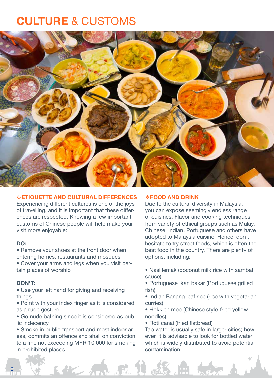### CULTURE & CUSTOMS



#### ETIQUETTE AND CULTURAL DIFFERENCES

Experiencing different cultures is one of the joys of travelling, and it is important that these differences are respected. Knowing a few important customs of Chinese people will help make your visit more enjoyable:

#### DO:

- Remove your shoes at the front door when entering homes, restaurants and mosques
- Cover your arms and legs when you visit certain places of worship

#### DON'T:

6

- Use your left hand for giving and receiving things
- Point with your index finger as it is considered as a rude gesture
- Go nude bathing since it is considered as public indecency
- Smoke in public transport and most indoor areas, commits an offence and shall on conviction to a fine not exceeding MYR 10,000 for smoking in prohibited places.

NE Ant

#### FOOD AND DRINK

Due to the cultural diversity in Malaysia, you can expose seemingly endless range of cuisines. Flavor and cooking techniques from variety of ethical groups such as Malay, Chinese, Indian, Portuguese and others have adopted to Malaysia cuisine. Hence, don't hesitate to try street foods, which is often the best food in the country. There are plenty of options, including:

- Nasi lemak (coconut milk rice with sambal sauce)
- Portuguese Ikan bakar (Portuguese grilled fish)
- Indian Banana leaf rice (rice with vegetarian curries)
- Hokkien mee (Chinese style-fried yellow noodles)
- Roti canai (fried flatbread)

Tap water is usually safe in larger cities; however, it is advisable to look for bottled water which is widely distributed to avoid potential contamination.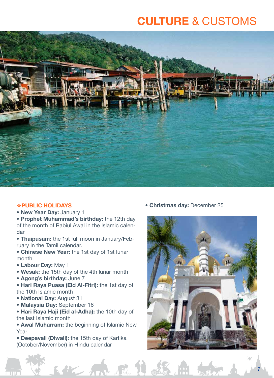### CULTURE & CUSTOMS



### *<b>\*PUBLIC HOLIDAYS*

- New Year Day: January 1
- Prophet Muhammad's birthday: the 12th day of the month of Rabiul Awal in the Islamic calendar
- Thaipusam: the 1st full moon in January/February in the Tamil calendar.
- Chinese New Year: the 1st day of 1st lunar month
- Labour Day: May 1
- Wesak: the 15th day of the 4th lunar month
- Agong's birthday: June 7
- Hari Raya Puasa (Eid Al-Fitri): the 1st day of the 10th Islamic month
- National Day: August 31
- Malaysia Day: September 16
- Hari Raya Haji (Eid al-Adha): the 10th day of the last Islamic month
- Awal Muharram: the beginning of Islamic New Year

LANE MINE I SA

• Deepavali (Diwali): the 15th day of Kartika (October/November) in Hindu calendar

• Christmas day: December 25



77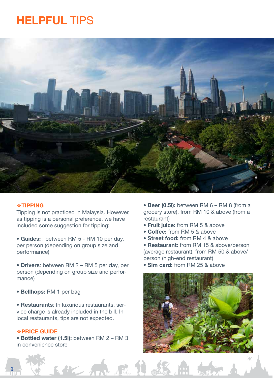### HELPFUL TIPS



#### **\*TIPPING**

Tipping is not practiced in Malaysia. However, as tipping is a personal preference, we have included some suggestion for tipping:

• Guides: : between RM 5 - RM 10 per day, per person (depending on group size and performance)

• Drivers: between RM 2 – RM 5 per day, per person (depending on group size and performance)

• Bellhops: RM 1 per bag

• Restaurants: In luxurious restaurants, service charge is already included in the bill. In local restaurants, tips are not expected.

#### *<b>\*PRICE GUIDE*

8

• Bottled water (1.5l): between RM 2 – RM 3 in convenience store

- Beer (0.5I): between RM 6 RM 8 (from a grocery store), from RM 10 & above (from a restaurant)
- Fruit juice: from RM 5 & above
- Coffee: from RM 5 & above
- Street food: from RM 4 & above
- Restaurant: from RM 15 & above/person (average restaurant), from RM 50 & above/ person (high-end restaurant)
- Sim card: from RM 25 & above